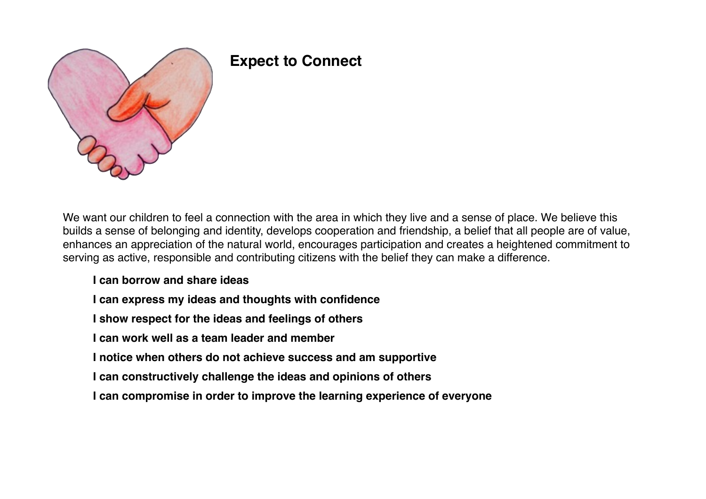

# **Expect to Connect**

We want our children to feel a connection with the area in which they live and a sense of place. We believe this builds a sense of belonging and identity, develops cooperation and friendship, a belief that all people are of value, enhances an appreciation of the natural world, encourages participation and creates a heightened commitment to serving as active, responsible and contributing citizens with the belief they can make a difference.

#### **I can borrow and share ideas**

- **I can express my ideas and thoughts with confidence**
- **I show respect for the ideas and feelings of others**
- **I can work well as a team leader and member**
- **I notice when others do not achieve success and am supportive**
- **I can constructively challenge the ideas and opinions of others**
- **I can compromise in order to improve the learning experience of everyone**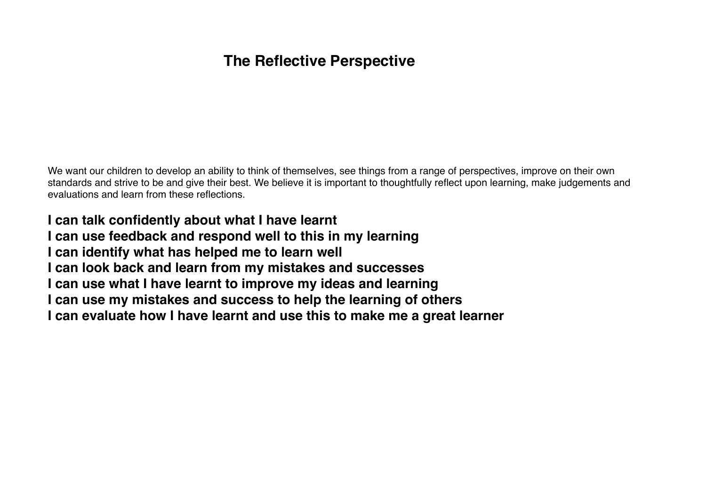#### **The Reflective Perspective**

We want our children to develop an ability to think of themselves, see things from a range of perspectives, improve on their own standards and strive to be and give their best. We believe it is important to thoughtfully reflect upon learning, make judgements and evaluations and learn from these reflections.

**I can talk confidently about what I have learnt I can use feedback and respond well to this in my learning I can identify what has helped me to learn well I can look back and learn from my mistakes and successes I can use what I have learnt to improve my ideas and learning I can use my mistakes and success to help the learning of others I can evaluate how I have learnt and use this to make me a great learner**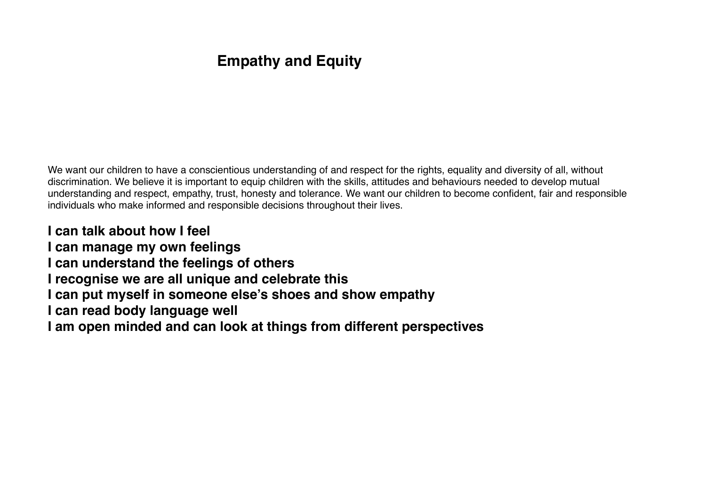## **Empathy and Equity**

We want our children to have a conscientious understanding of and respect for the rights, equality and diversity of all, without discrimination. We believe it is important to equip children with the skills, attitudes and behaviours needed to develop mutual understanding and respect, empathy, trust, honesty and tolerance. We want our children to become confident, fair and responsible individuals who make informed and responsible decisions throughout their lives.

**I can talk about how I feel I can manage my own feelings I can understand the feelings of others I recognise we are all unique and celebrate this I can put myself in someone else's shoes and show empathy I can read body language well I am open minded and can look at things from different perspectives**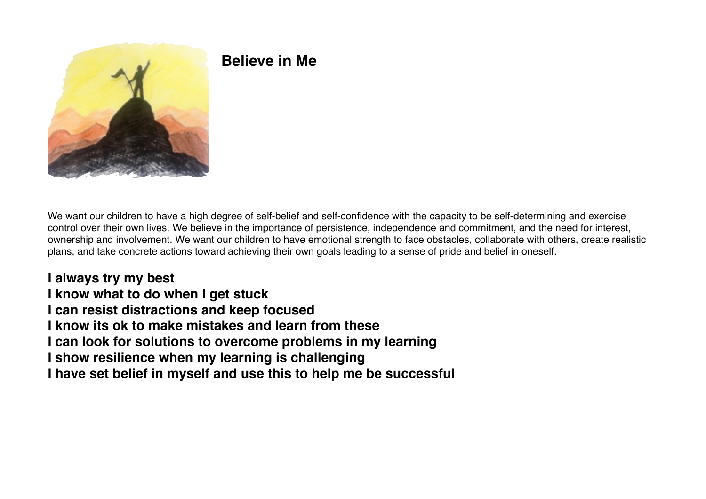

## **Believe in Me**

We want our children to have a high degree of self-belief and self-confidence with the capacity to be self-determining and exercise control over their own lives. We believe in the importance of persistence, independence and commitment, and the need for interest, ownership and involvement. We want our children to have emotional strength to face obstacles, collaborate with others, create realistic plans, and take concrete actions toward achieving their own goals leading to a sense of pride and belief in oneself.

**I always try my best I know what to do when I get stuck I can resist distractions and keep focused I know its ok to make mistakes and learn from these I can look for solutions to overcome problems in my learning I show resilience when my learning is challenging I have set belief in myself and use this to help me be successful**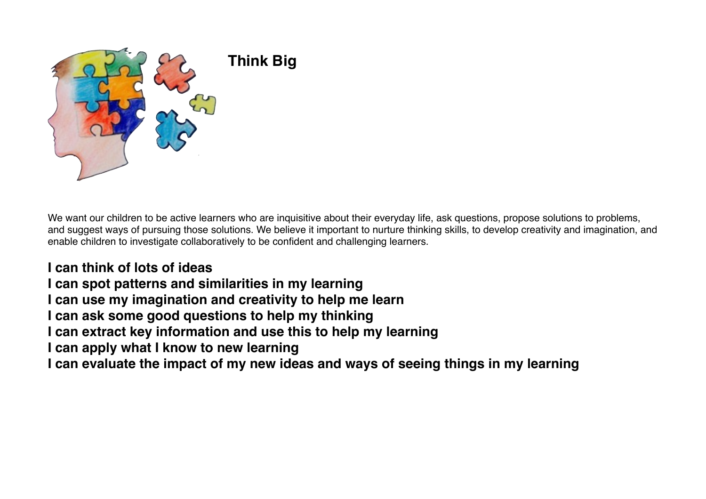

We want our children to be active learners who are inquisitive about their everyday life, ask questions, propose solutions to problems, and suggest ways of pursuing those solutions. We believe it important to nurture thinking skills, to develop creativity and imagination, and enable children to investigate collaboratively to be confident and challenging learners.

**I can think of lots of ideas I can spot patterns and similarities in my learning I can use my imagination and creativity to help me learn I can ask some good questions to help my thinking I can extract key information and use this to help my learning I can apply what I know to new learning I can evaluate the impact of my new ideas and ways of seeing things in my learning**